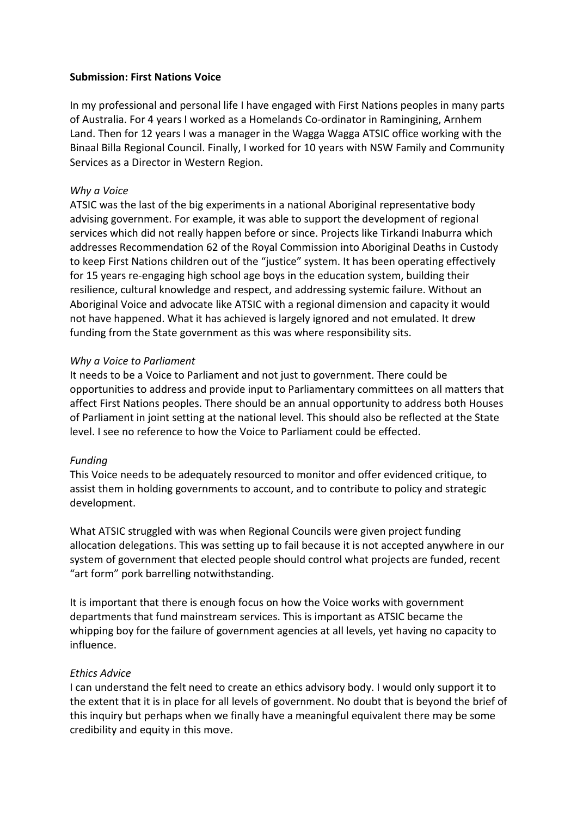## **Submission: First Nations Voice**

In my professional and personal life I have engaged with First Nations peoples in many parts of Australia. For 4 years I worked as a Homelands Co-ordinator in Ramingining, Arnhem Land. Then for 12 years I was a manager in the Wagga Wagga ATSIC office working with the Binaal Billa Regional Council. Finally, I worked for 10 years with NSW Family and Community Services as a Director in Western Region.

### *Why a Voice*

ATSIC was the last of the big experiments in a national Aboriginal representative body advising government. For example, it was able to support the development of regional services which did not really happen before or since. Projects like Tirkandi Inaburra which addresses Recommendation 62 of the Royal Commission into Aboriginal Deaths in Custody to keep First Nations children out of the "justice" system. It has been operating effectively for 15 years re-engaging high school age boys in the education system, building their resilience, cultural knowledge and respect, and addressing systemic failure. Without an Aboriginal Voice and advocate like ATSIC with a regional dimension and capacity it would not have happened. What it has achieved is largely ignored and not emulated. It drew funding from the State government as this was where responsibility sits.

### *Why a Voice to Parliament*

It needs to be a Voice to Parliament and not just to government. There could be opportunities to address and provide input to Parliamentary committees on all matters that affect First Nations peoples. There should be an annual opportunity to address both Houses of Parliament in joint setting at the national level. This should also be reflected at the State level. I see no reference to how the Voice to Parliament could be effected.

#### *Funding*

This Voice needs to be adequately resourced to monitor and offer evidenced critique, to assist them in holding governments to account, and to contribute to policy and strategic development.

What ATSIC struggled with was when Regional Councils were given project funding allocation delegations. This was setting up to fail because it is not accepted anywhere in our system of government that elected people should control what projects are funded, recent "art form" pork barrelling notwithstanding.

It is important that there is enough focus on how the Voice works with government departments that fund mainstream services. This is important as ATSIC became the whipping boy for the failure of government agencies at all levels, yet having no capacity to influence.

## *Ethics Advice*

I can understand the felt need to create an ethics advisory body. I would only support it to the extent that it is in place for all levels of government. No doubt that is beyond the brief of this inquiry but perhaps when we finally have a meaningful equivalent there may be some credibility and equity in this move.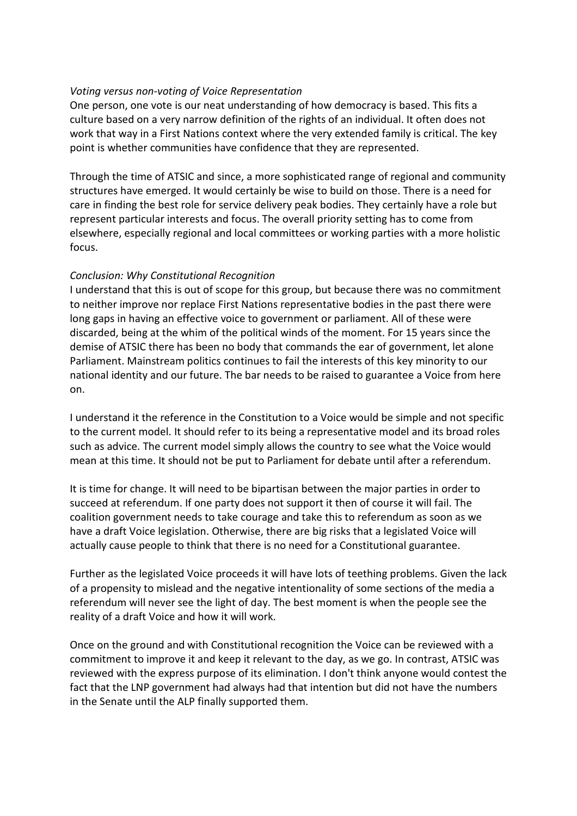# *Voting versus non-voting of Voice Representation*

One person, one vote is our neat understanding of how democracy is based. This fits a culture based on a very narrow definition of the rights of an individual. It often does not work that way in a First Nations context where the very extended family is critical. The key point is whether communities have confidence that they are represented.

Through the time of ATSIC and since, a more sophisticated range of regional and community structures have emerged. It would certainly be wise to build on those. There is a need for care in finding the best role for service delivery peak bodies. They certainly have a role but represent particular interests and focus. The overall priority setting has to come from elsewhere, especially regional and local committees or working parties with a more holistic focus.

# *Conclusion: Why Constitutional Recognition*

I understand that this is out of scope for this group, but because there was no commitment to neither improve nor replace First Nations representative bodies in the past there were long gaps in having an effective voice to government or parliament. All of these were discarded, being at the whim of the political winds of the moment. For 15 years since the demise of ATSIC there has been no body that commands the ear of government, let alone Parliament. Mainstream politics continues to fail the interests of this key minority to our national identity and our future. The bar needs to be raised to guarantee a Voice from here on.

I understand it the reference in the Constitution to a Voice would be simple and not specific to the current model. It should refer to its being a representative model and its broad roles such as advice. The current model simply allows the country to see what the Voice would mean at this time. It should not be put to Parliament for debate until after a referendum.

It is time for change. It will need to be bipartisan between the major parties in order to succeed at referendum. If one party does not support it then of course it will fail. The coalition government needs to take courage and take this to referendum as soon as we have a draft Voice legislation. Otherwise, there are big risks that a legislated Voice will actually cause people to think that there is no need for a Constitutional guarantee.

Further as the legislated Voice proceeds it will have lots of teething problems. Given the lack of a propensity to mislead and the negative intentionality of some sections of the media a referendum will never see the light of day. The best moment is when the people see the reality of a draft Voice and how it will work.

Once on the ground and with Constitutional recognition the Voice can be reviewed with a commitment to improve it and keep it relevant to the day, as we go. In contrast, ATSIC was reviewed with the express purpose of its elimination. I don't think anyone would contest the fact that the LNP government had always had that intention but did not have the numbers in the Senate until the ALP finally supported them.